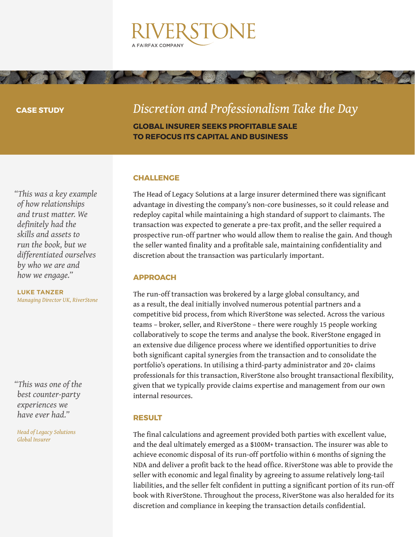

#### **CASE STUDY**

## *Discretion and Professionalism Take the Day*

**GLOBAL INSURER SEEKS PROFITABLE SALE TO REFOCUS ITS CAPITAL AND BUSINESS**

#### **CHALLENGE**

The Head of Legacy Solutions at a large insurer determined there was significant advantage in divesting the company's non-core businesses, so it could release and redeploy capital while maintaining a high standard of support to claimants. The transaction was expected to generate a pre-tax profit, and the seller required a prospective run-off partner who would allow them to realise the gain. And though the seller wanted finality and a profitable sale, maintaining confidentiality and discretion about the transaction was particularly important.

## **APPROACH**

The run-off transaction was brokered by a large global consultancy, and as a result, the deal initially involved numerous potential partners and a competitive bid process, from which RiverStone was selected. Across the various teams – broker, seller, and RiverStone – there were roughly 15 people working collaboratively to scope the terms and analyse the book. RiverStone engaged in an extensive due diligence process where we identified opportunities to drive both significant capital synergies from the transaction and to consolidate the portfolio's operations. In utilising a third-party administrator and 20+ claims professionals for this transaction, RiverStone also brought transactional flexibility, given that we typically provide claims expertise and management from our own internal resources.

### **RESULT**

The final calculations and agreement provided both parties with excellent value, and the deal ultimately emerged as a \$100M+ transaction. The insurer was able to achieve economic disposal of its run-off portfolio within 6 months of signing the NDA and deliver a profit back to the head office. RiverStone was able to provide the seller with economic and legal finality by agreeing to assume relatively long-tail liabilities, and the seller felt confident in putting a significant portion of its run-off book with RiverStone. Throughout the process, RiverStone was also heralded for its discretion and compliance in keeping the transaction details confidential.

*"This was a key example of how relationships and trust matter. We definitely had the skills and assets to run the book, but we differentiated ourselves by who we are and how we engage."* 

**LUKE TANZER** *Managing Director UK, RiverStone* 

*"This was one of the best counter-party experiences we have ever had."* 

*Head of Legacy Solutions Global Insurer*